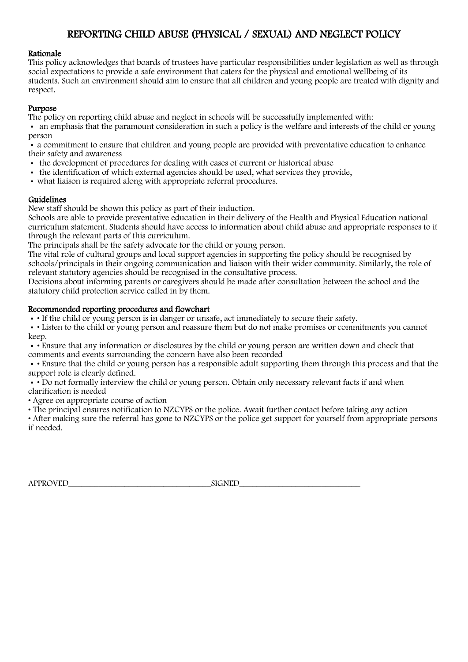# REPORTING CHILD ABUSE (PHYSICAL / SEXUAL) AND NEGLECT POLICY

#### Rationale

This policy acknowledges that boards of trustees have particular responsibilities under legislation as well as through social expectations to provide a safe environment that caters for the physical and emotional wellbeing of its students. Such an environment should aim to ensure that all children and young people are treated with dignity and respect.

#### Purpose

The policy on reporting child abuse and neglect in schools will be successfully implemented with:

 an emphasis that the paramount consideration in such a policy is the welfare and interests of the child or young person

 a commitment to ensure that children and young people are provided with preventative education to enhance their safety and awareness

- the development of procedures for dealing with cases of current or historical abuse
- the identification of which external agencies should be used, what services they provide,
- what liaison is required along with appropriate referral procedures.

#### Guidelines

New staff should be shown this policy as part of their induction.

Schools are able to provide preventative education in their delivery of the Health and Physical Education national curriculum statement. Students should have access to information about child abuse and appropriate responses to it through the relevant parts of this curriculum.

The principals shall be the safety advocate for the child or young person.

The vital role of cultural groups and local support agencies in supporting the policy should be recognised by schools/principals in their ongoing communication and liaison with their wider community. Similarly, the role of relevant statutory agencies should be recognised in the consultative process.

Decisions about informing parents or caregivers should be made after consultation between the school and the statutory child protection service called in by them.

#### Recommended reporting procedures and flowchart

• If the child or young person is in danger or unsafe, act immediately to secure their safety.

 • Listen to the child or young person and reassure them but do not make promises or commitments you cannot keep.

 • Ensure that any information or disclosures by the child or young person are written down and check that comments and events surrounding the concern have also been recorded

 • Ensure that the child or young person has a responsible adult supporting them through this process and that the support role is clearly defined.

• • Do not formally interview the child or young person. Obtain only necessary relevant facts if and when clarification is needed

• Agree on appropriate course of action

• The principal ensures notification to NZCYPS or the police. Await further contact before taking any action

• After making sure the referral has gone to NZCYPS or the police get support for yourself from appropriate persons if needed.

| <b>APPROVED</b><br>$\sim$ | $\alpha$ ant<br>SІ<br>oiuvle |
|---------------------------|------------------------------|
|                           |                              |